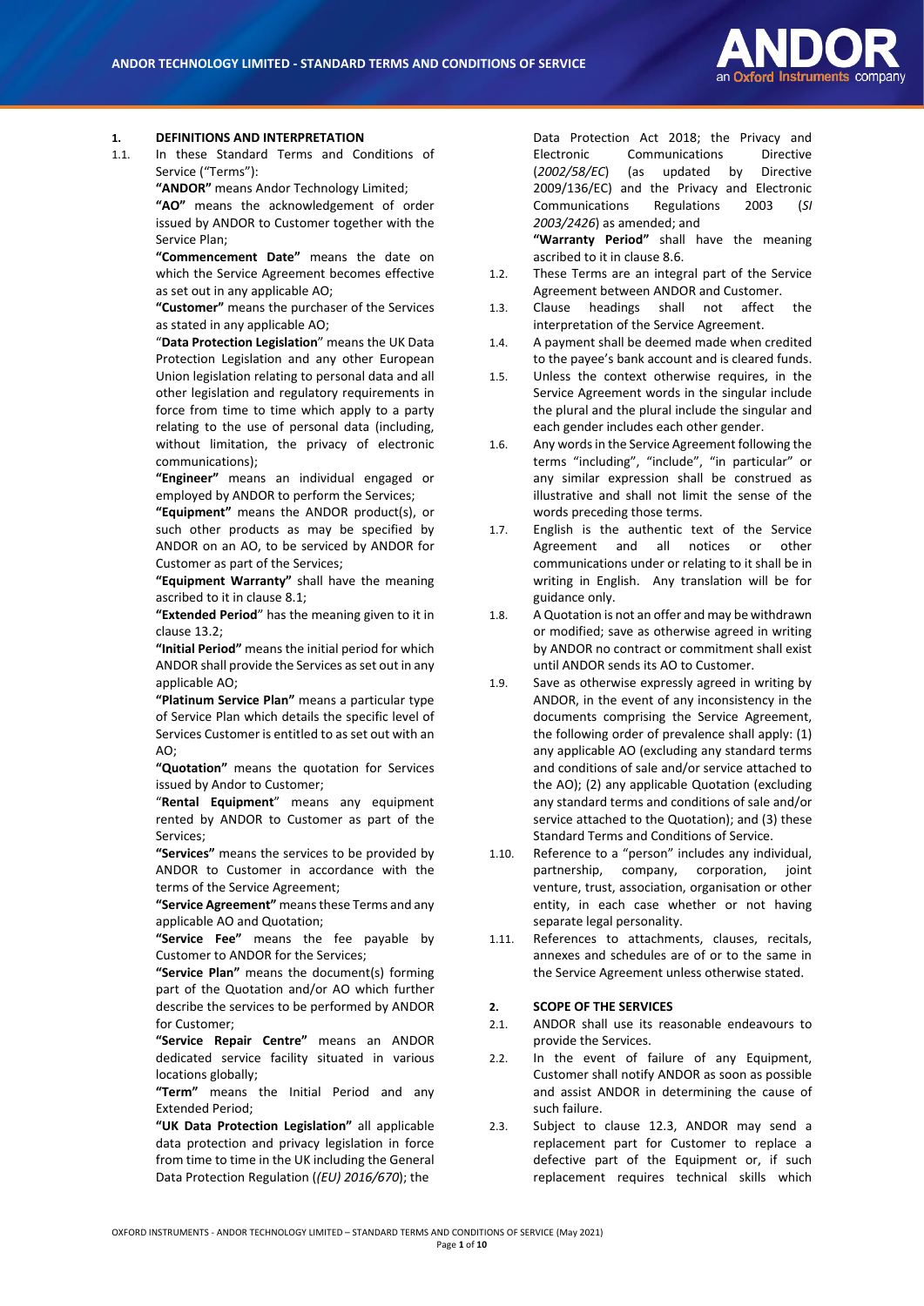

# **1. DEFINITIONS AND INTERPRETATION**

1.1. In these Standard Terms and Conditions of Service ("Terms"):

**"ANDOR"** means Andor Technology Limited;

**"AO"** means the acknowledgement of order issued by ANDOR to Customer together with the Service Plan;

**"Commencement Date"** means the date on which the Service Agreement becomes effective as set out in any applicable AO;

**"Customer"** means the purchaser of the Services as stated in any applicable AO;

"**Data Protection Legislation**" means the UK Data Protection Legislation and any other European Union legislation relating to personal data and all other legislation and regulatory requirements in force from time to time which apply to a party relating to the use of personal data (including, without limitation, the privacy of electronic communications);

**"Engineer"** means an individual engaged or employed by ANDOR to perform the Services;

**"Equipment"** means the ANDOR product(s), or such other products as may be specified by ANDOR on an AO, to be serviced by ANDOR for Customer as part of the Services;

**"Equipment Warranty"** shall have the meaning ascribed to it in clause 8.1;

**"Extended Period**" has the meaning given to it in clause 13.2;

**"Initial Period"** means the initial period for which ANDOR shall provide the Services as set out in any applicable AO;

**"Platinum Service Plan"** means a particular type of Service Plan which details the specific level of Services Customer is entitled to as set out with an AO;

**"Quotation"** means the quotation for Services issued by Andor to Customer;

"**Rental Equipment**" means any equipment rented by ANDOR to Customer as part of the Services;

**"Services"** means the services to be provided by ANDOR to Customer in accordance with the terms of the Service Agreement;

**"Service Agreement"** means these Terms and any applicable AO and Quotation;

**"Service Fee"** means the fee payable by Customer to ANDOR for the Services;

**"Service Plan"** means the document(s) forming part of the Quotation and/or AO which further describe the services to be performed by ANDOR for Customer;

**"Service Repair Centre"** means an ANDOR dedicated service facility situated in various locations globally;

**"Term"** means the Initial Period and any Extended Period;

**"UK Data Protection Legislation"** all applicable data protection and privacy legislation in force from time to time in the UK including the General Data Protection Regulation (*(EU) 2016/670*); the

Data Protection Act 2018; the Privacy and Electronic Communications Directive (*2002/58/EC*) (as updated by Directive 2009/136/EC) and the Privacy and Electronic Communications Regulations 2003 (*SI 2003/2426*) as amended; and

**"Warranty Period"** shall have the meaning ascribed to it in clause 8.6.

- 1.2. These Terms are an integral part of the Service Agreement between ANDOR and Customer.
- 1.3. Clause headings shall not affect the interpretation of the Service Agreement.
- 1.4. A payment shall be deemed made when credited to the payee's bank account and is cleared funds.
- 1.5. Unless the context otherwise requires, in the Service Agreement words in the singular include the plural and the plural include the singular and each gender includes each other gender.
- 1.6. Any words in the Service Agreement following the terms "including", "include", "in particular" or any similar expression shall be construed as illustrative and shall not limit the sense of the words preceding those terms.
- 1.7. English is the authentic text of the Service Agreement and all notices or other communications under or relating to it shall be in writing in English. Any translation will be for guidance only.
- 1.8. A Quotation is not an offer and may be withdrawn or modified; save as otherwise agreed in writing by ANDOR no contract or commitment shall exist until ANDOR sends its AO to Customer.
- 1.9. Save as otherwise expressly agreed in writing by ANDOR, in the event of any inconsistency in the documents comprising the Service Agreement, the following order of prevalence shall apply: (1) any applicable AO (excluding any standard terms and conditions of sale and/or service attached to the AO); (2) any applicable Quotation (excluding any standard terms and conditions of sale and/or service attached to the Quotation); and (3) these Standard Terms and Conditions of Service.
- 1.10. Reference to a "person" includes any individual, partnership, company, corporation, joint venture, trust, association, organisation or other entity, in each case whether or not having separate legal personality.
- 1.11. References to attachments, clauses, recitals, annexes and schedules are of or to the same in the Service Agreement unless otherwise stated.

#### **2. SCOPE OF THE SERVICES**

- 2.1. ANDOR shall use its reasonable endeavours to provide the Services.
- 2.2. In the event of failure of any Equipment, Customer shall notify ANDOR as soon as possible and assist ANDOR in determining the cause of such failure.
- 2.3. Subject to clause 12.3, ANDOR may send a replacement part for Customer to replace a defective part of the Equipment or, if such replacement requires technical skills which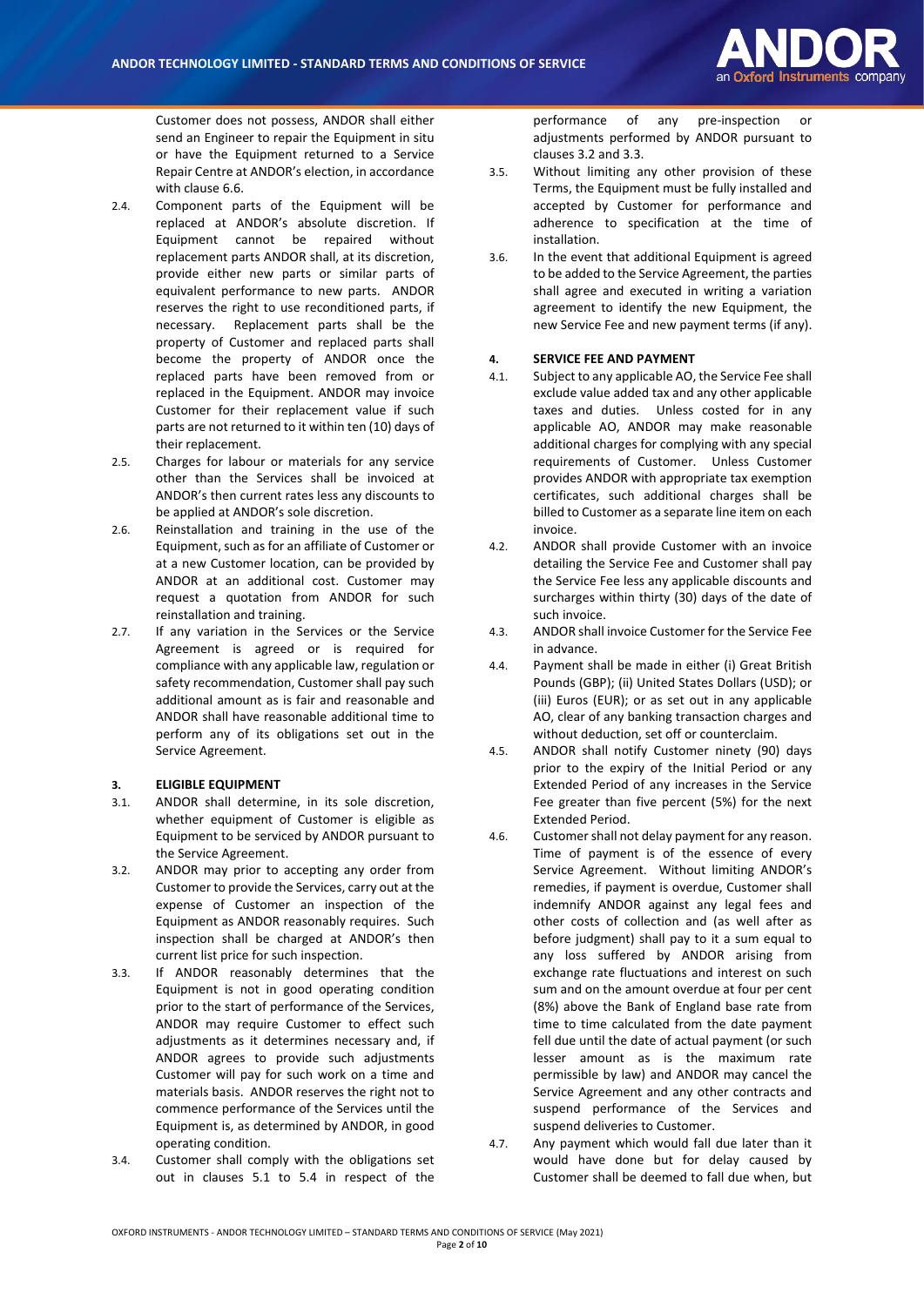

Customer does not possess, ANDOR shall either send an Engineer to repair the Equipment in situ or have the Equipment returned to a Service Repair Centre at ANDOR's election, in accordance with claus[e 6.6.](#page-3-0)

- 2.4. Component parts of the Equipment will be replaced at ANDOR's absolute discretion. If Equipment cannot be repaired without replacement parts ANDOR shall, at its discretion, provide either new parts or similar parts of equivalent performance to new parts. ANDOR reserves the right to use reconditioned parts, if necessary. Replacement parts shall be the property of Customer and replaced parts shall become the property of ANDOR once the replaced parts have been removed from or replaced in the Equipment. ANDOR may invoice Customer for their replacement value if such parts are not returned to it within ten (10) days of their replacement.
- 2.5. Charges for labour or materials for any service other than the Services shall be invoiced at ANDOR's then current rates less any discounts to be applied at ANDOR's sole discretion.
- 2.6. Reinstallation and training in the use of the Equipment, such as for an affiliate of Customer or at a new Customer location, can be provided by ANDOR at an additional cost. Customer may request a quotation from ANDOR for such reinstallation and training.
- 2.7. If any variation in the Services or the Service Agreement is agreed or is required for compliance with any applicable law, regulation or safety recommendation, Customer shall pay such additional amount as is fair and reasonable and ANDOR shall have reasonable additional time to perform any of its obligations set out in the Service Agreement.

# **3. ELIGIBLE EQUIPMENT**

- 3.1. ANDOR shall determine, in its sole discretion, whether equipment of Customer is eligible as Equipment to be serviced by ANDOR pursuant to the Service Agreement.
- <span id="page-1-0"></span>3.2. ANDOR may prior to accepting any order from Customer to provide the Services, carry out at the expense of Customer an inspection of the Equipment as ANDOR reasonably requires. Such inspection shall be charged at ANDOR's then current list price for such inspection.
- <span id="page-1-1"></span>3.3. If ANDOR reasonably determines that the Equipment is not in good operating condition prior to the start of performance of the Services, ANDOR may require Customer to effect such adjustments as it determines necessary and, if ANDOR agrees to provide such adjustments Customer will pay for such work on a time and materials basis. ANDOR reserves the right not to commence performance of the Services until the Equipment is, as determined by ANDOR, in good operating condition.
- 3.4. Customer shall comply with the obligations set out in clauses [5.1](#page-2-0) to [5.4](#page-2-1) in respect of the

performance of any pre-inspection or adjustments performed by ANDOR pursuant to clause[s 3.2](#page-1-0) an[d 3.3.](#page-1-1)

- 3.5. Without limiting any other provision of these Terms, the Equipment must be fully installed and accepted by Customer for performance and adherence to specification at the time of installation.
- 3.6. In the event that additional Equipment is agreed to be added to the Service Agreement, the parties shall agree and executed in writing a variation agreement to identify the new Equipment, the new Service Fee and new payment terms (if any).

## **4. SERVICE FEE AND PAYMENT**

- 4.1. Subject to any applicable AO, the Service Fee shall exclude value added tax and any other applicable taxes and duties. Unless costed for in any applicable AO, ANDOR may make reasonable additional charges for complying with any special requirements of Customer. Unless Customer provides ANDOR with appropriate tax exemption certificates, such additional charges shall be billed to Customer as a separate line item on each invoice.
- 4.2. ANDOR shall provide Customer with an invoice detailing the Service Fee and Customer shall pay the Service Fee less any applicable discounts and surcharges within thirty (30) days of the date of such invoice.
- 4.3. ANDOR shall invoice Customer for the Service Fee in advance.
- 4.4. Payment shall be made in either (i) Great British Pounds (GBP); (ii) United States Dollars (USD); or (iii) Euros (EUR); or as set out in any applicable AO, clear of any banking transaction charges and without deduction, set off or counterclaim.
- 4.5. ANDOR shall notify Customer ninety (90) days prior to the expiry of the Initial Period or any Extended Period of any increases in the Service Fee greater than five percent (5%) for the next Extended Period.
- <span id="page-1-2"></span>4.6. Customer shall not delay payment for any reason. Time of payment is of the essence of every Service Agreement. Without limiting ANDOR's remedies, if payment is overdue, Customer shall indemnify ANDOR against any legal fees and other costs of collection and (as well after as before judgment) shall pay to it a sum equal to any loss suffered by ANDOR arising from exchange rate fluctuations and interest on such sum and on the amount overdue at four per cent (8%) above the Bank of England base rate from time to time calculated from the date payment fell due until the date of actual payment (or such lesser amount as is the maximum rate permissible by law) and ANDOR may cancel the Service Agreement and any other contracts and suspend performance of the Services and suspend deliveries to Customer.
- 4.7. Any payment which would fall due later than it would have done but for delay caused by Customer shall be deemed to fall due when, but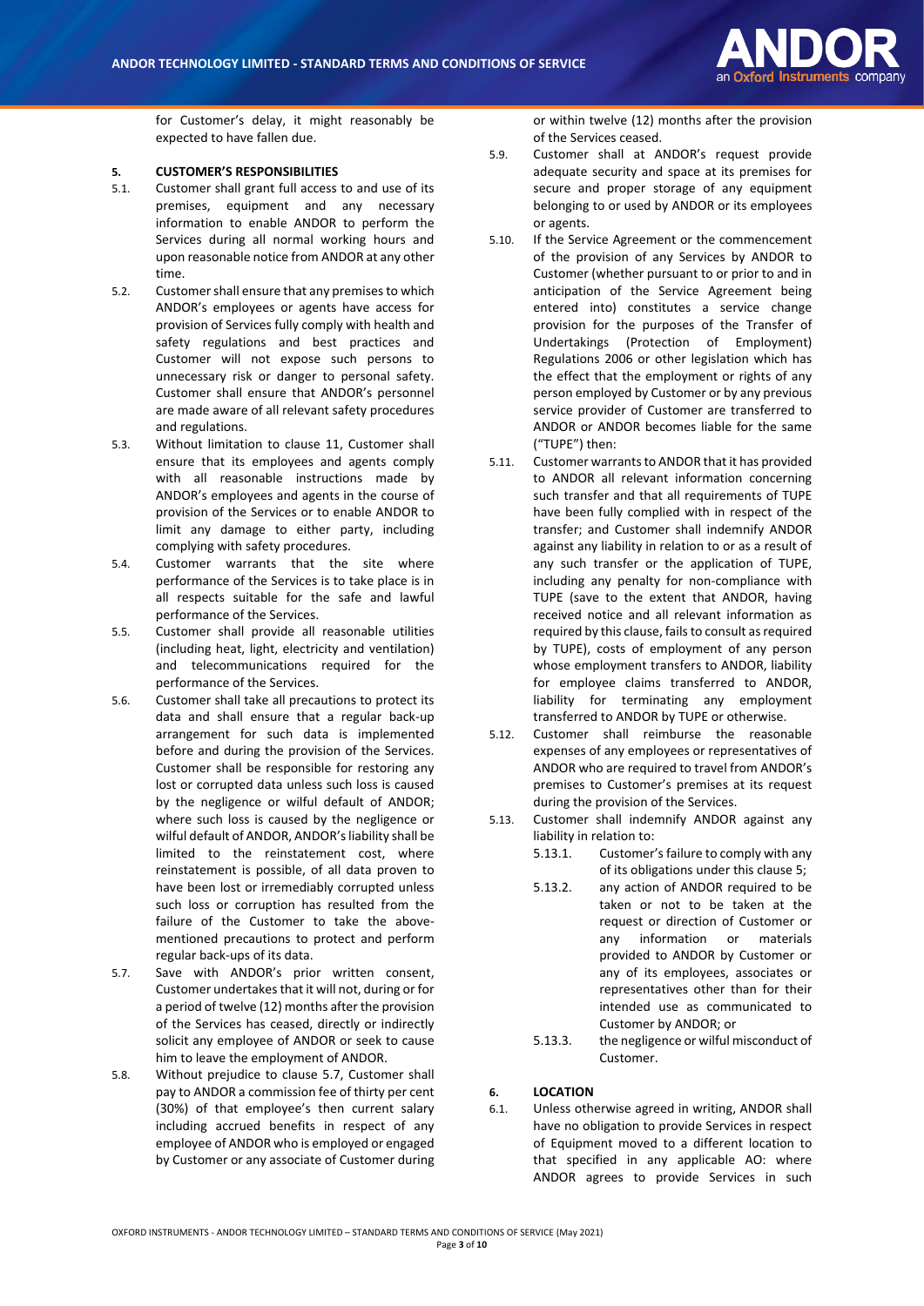for Customer's delay, it might reasonably be expected to have fallen due.

## <span id="page-2-3"></span>**5. CUSTOMER'S RESPONSIBILITIES**

- <span id="page-2-0"></span>5.1. Customer shall grant full access to and use of its premises, equipment and any necessary information to enable ANDOR to perform the Services during all normal working hours and upon reasonable notice from ANDOR at any other time.
- 5.2. Customer shall ensure that any premises to which ANDOR's employees or agents have access for provision of Services fully comply with health and safety regulations and best practices and Customer will not expose such persons to unnecessary risk or danger to personal safety. Customer shall ensure that ANDOR's personnel are made aware of all relevant safety procedures and regulations.
- 5.3. Without limitation to clause 11, Customer shall ensure that its employees and agents comply with all reasonable instructions made by ANDOR's employees and agents in the course of provision of the Services or to enable ANDOR to limit any damage to either party, including complying with safety procedures.
- <span id="page-2-1"></span>5.4. Customer warrants that the site where performance of the Services is to take place is in all respects suitable for the safe and lawful performance of the Services.
- 5.5. Customer shall provide all reasonable utilities (including heat, light, electricity and ventilation) and telecommunications required for the performance of the Services.
- 5.6. Customer shall take all precautions to protect its data and shall ensure that a regular back-up arrangement for such data is implemented before and during the provision of the Services. Customer shall be responsible for restoring any lost or corrupted data unless such loss is caused by the negligence or wilful default of ANDOR; where such loss is caused by the negligence or wilful default of ANDOR, ANDOR's liability shall be limited to the reinstatement cost, where reinstatement is possible, of all data proven to have been lost or irremediably corrupted unless such loss or corruption has resulted from the failure of the Customer to take the abovementioned precautions to protect and perform regular back-ups of its data.
- <span id="page-2-2"></span>5.7. Save with ANDOR's prior written consent, Customer undertakes that it will not, during or for a period of twelve (12) months after the provision of the Services has ceased, directly or indirectly solicit any employee of ANDOR or seek to cause him to leave the employment of ANDOR.
- 5.8. Without prejudice to clause [5.7,](#page-2-2) Customer shall pay to ANDOR a commission fee of thirty per cent (30%) of that employee's then current salary including accrued benefits in respect of any employee of ANDOR who is employed or engaged by Customer or any associate of Customer during

or within twelve (12) months after the provision of the Services ceased.

- 5.9. Customer shall at ANDOR's request provide adequate security and space at its premises for secure and proper storage of any equipment belonging to or used by ANDOR or its employees or agents.
- 5.10. If the Service Agreement or the commencement of the provision of any Services by ANDOR to Customer (whether pursuant to or prior to and in anticipation of the Service Agreement being entered into) constitutes a service change provision for the purposes of the Transfer of Undertakings (Protection of Employment) Regulations 2006 or other legislation which has the effect that the employment or rights of any person employed by Customer or by any previous service provider of Customer are transferred to ANDOR or ANDOR becomes liable for the same ("TUPE") then:
- 5.11. Customer warrants to ANDOR that it has provided to ANDOR all relevant information concerning such transfer and that all requirements of TUPE have been fully complied with in respect of the transfer; and Customer shall indemnify ANDOR against any liability in relation to or as a result of any such transfer or the application of TUPE, including any penalty for non-compliance with TUPE (save to the extent that ANDOR, having received notice and all relevant information as required by this clause, fails to consult as required by TUPE), costs of employment of any person whose employment transfers to ANDOR, liability for employee claims transferred to ANDOR, liability for terminating any employment transferred to ANDOR by TUPE or otherwise.
- 5.12. Customer shall reimburse the reasonable expenses of any employees or representatives of ANDOR who are required to travel from ANDOR's premises to Customer's premises at its request during the provision of the Services.
- 5.13. Customer shall indemnify ANDOR against any liability in relation to:
	- 5.13.1. Customer's failure to comply with any of its obligations under this clause [5;](#page-2-3)
	- 5.13.2. any action of ANDOR required to be taken or not to be taken at the request or direction of Customer or any information or materials provided to ANDOR by Customer or any of its employees, associates or representatives other than for their intended use as communicated to Customer by ANDOR; or
	- 5.13.3. the negligence or wilful misconduct of Customer.

# **6. LOCATION**

6.1. Unless otherwise agreed in writing, ANDOR shall have no obligation to provide Services in respect of Equipment moved to a different location to that specified in any applicable AO: where ANDOR agrees to provide Services in such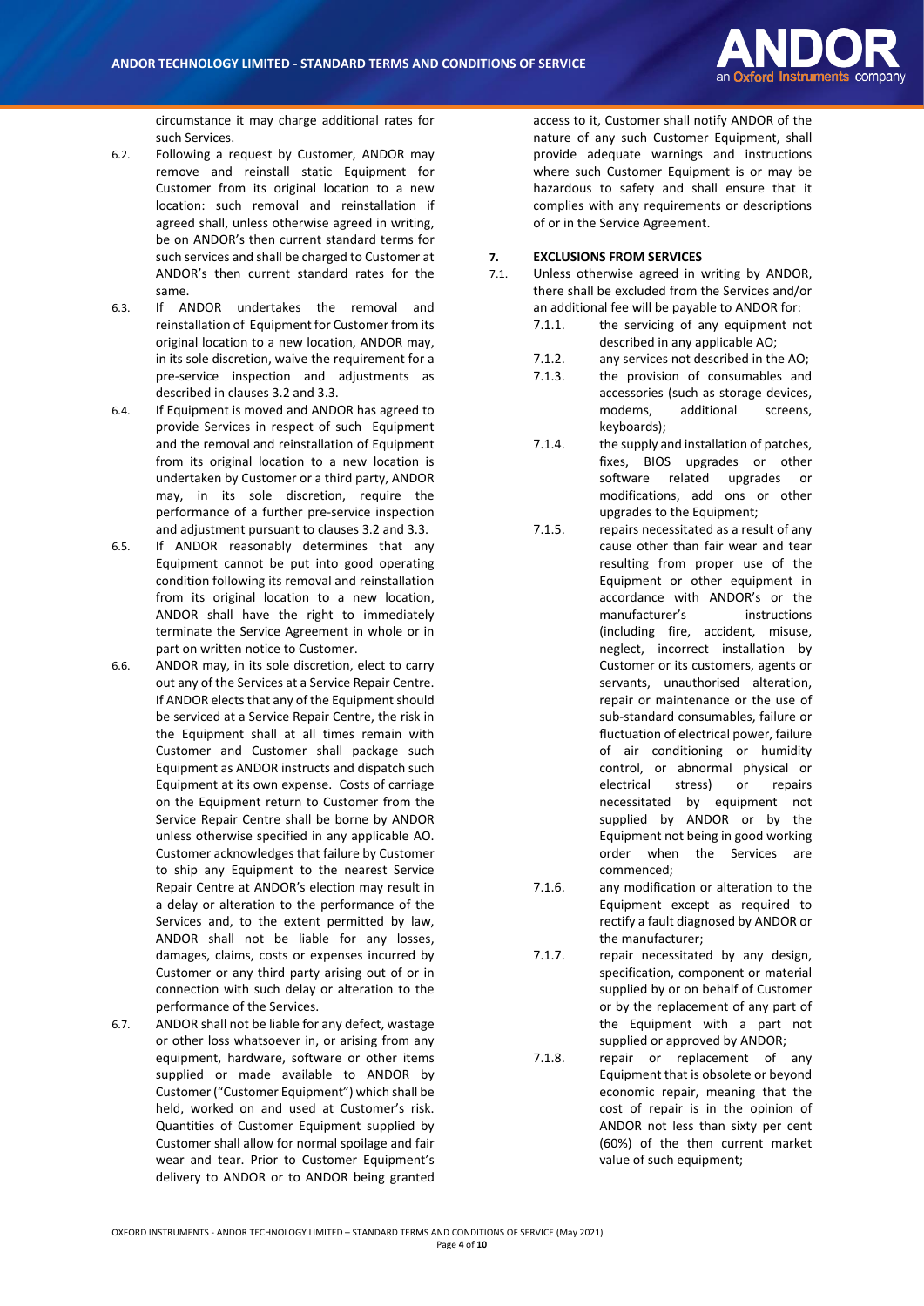

circumstance it may charge additional rates for such Services.

- 6.2. Following a request by Customer, ANDOR may remove and reinstall static Equipment for Customer from its original location to a new location: such removal and reinstallation if agreed shall, unless otherwise agreed in writing, be on ANDOR's then current standard terms for such services and shall be charged to Customer at ANDOR's then current standard rates for the same.
- 6.3. If ANDOR undertakes the removal and reinstallation of Equipment for Customer from its original location to a new location, ANDOR may, in its sole discretion, waive the requirement for a pre-service inspection and adjustments as described in clause[s 3.2](#page-1-0) an[d 3.3.](#page-1-1)
- 6.4. If Equipment is moved and ANDOR has agreed to provide Services in respect of such Equipment and the removal and reinstallation of Equipment from its original location to a new location is undertaken by Customer or a third party, ANDOR may, in its sole discretion, require the performance of a further pre-service inspection and adjustment pursuant to clause[s 3.2](#page-1-0) an[d 3.3.](#page-1-1)
- 6.5. If ANDOR reasonably determines that any Equipment cannot be put into good operating condition following its removal and reinstallation from its original location to a new location, ANDOR shall have the right to immediately terminate the Service Agreement in whole or in part on written notice to Customer.
- <span id="page-3-0"></span>6.6. ANDOR may, in its sole discretion, elect to carry out any of the Services at a Service Repair Centre. If ANDOR elects that any of the Equipment should be serviced at a Service Repair Centre, the risk in the Equipment shall at all times remain with Customer and Customer shall package such Equipment as ANDOR instructs and dispatch such Equipment at its own expense. Costs of carriage on the Equipment return to Customer from the Service Repair Centre shall be borne by ANDOR unless otherwise specified in any applicable AO. Customer acknowledges that failure by Customer to ship any Equipment to the nearest Service Repair Centre at ANDOR's election may result in a delay or alteration to the performance of the Services and, to the extent permitted by law, ANDOR shall not be liable for any losses, damages, claims, costs or expenses incurred by Customer or any third party arising out of or in connection with such delay or alteration to the performance of the Services.
- 6.7. ANDOR shall not be liable for any defect, wastage or other loss whatsoever in, or arising from any equipment, hardware, software or other items supplied or made available to ANDOR by Customer ("Customer Equipment") which shall be held, worked on and used at Customer's risk. Quantities of Customer Equipment supplied by Customer shall allow for normal spoilage and fair wear and tear. Prior to Customer Equipment's delivery to ANDOR or to ANDOR being granted

access to it, Customer shall notify ANDOR of the nature of any such Customer Equipment, shall provide adequate warnings and instructions where such Customer Equipment is or may be hazardous to safety and shall ensure that it complies with any requirements or descriptions of or in the Service Agreement.

# **7. EXCLUSIONS FROM SERVICES**

- 7.1. Unless otherwise agreed in writing by ANDOR, there shall be excluded from the Services and/or an additional fee will be payable to ANDOR for:
	- 7.1.1. the servicing of any equipment not described in any applicable AO;
	- 7.1.2. any services not described in the AO;
	- 7.1.3. the provision of consumables and accessories (such as storage devices, modems, additional screens, keyboards);
	- 7.1.4. the supply and installation of patches, fixes, BIOS upgrades or other software related upgrades or modifications, add ons or other upgrades to the Equipment;
	- 7.1.5. repairs necessitated as a result of any cause other than fair wear and tear resulting from proper use of the Equipment or other equipment in accordance with ANDOR's or the manufacturer's instructions (including fire, accident, misuse, neglect, incorrect installation by Customer or its customers, agents or servants, unauthorised alteration, repair or maintenance or the use of sub-standard consumables, failure or fluctuation of electrical power, failure of air conditioning or humidity control, or abnormal physical or electrical stress) or repairs necessitated by equipment not supplied by ANDOR or by the Equipment not being in good working order when the Services are commenced;
	- 7.1.6. any modification or alteration to the Equipment except as required to rectify a fault diagnosed by ANDOR or the manufacturer;
	- 7.1.7. repair necessitated by any design, specification, component or material supplied by or on behalf of Customer or by the replacement of any part of the Equipment with a part not supplied or approved by ANDOR;
	- 7.1.8. repair or replacement of any Equipment that is obsolete or beyond economic repair, meaning that the cost of repair is in the opinion of ANDOR not less than sixty per cent (60%) of the then current market value of such equipment;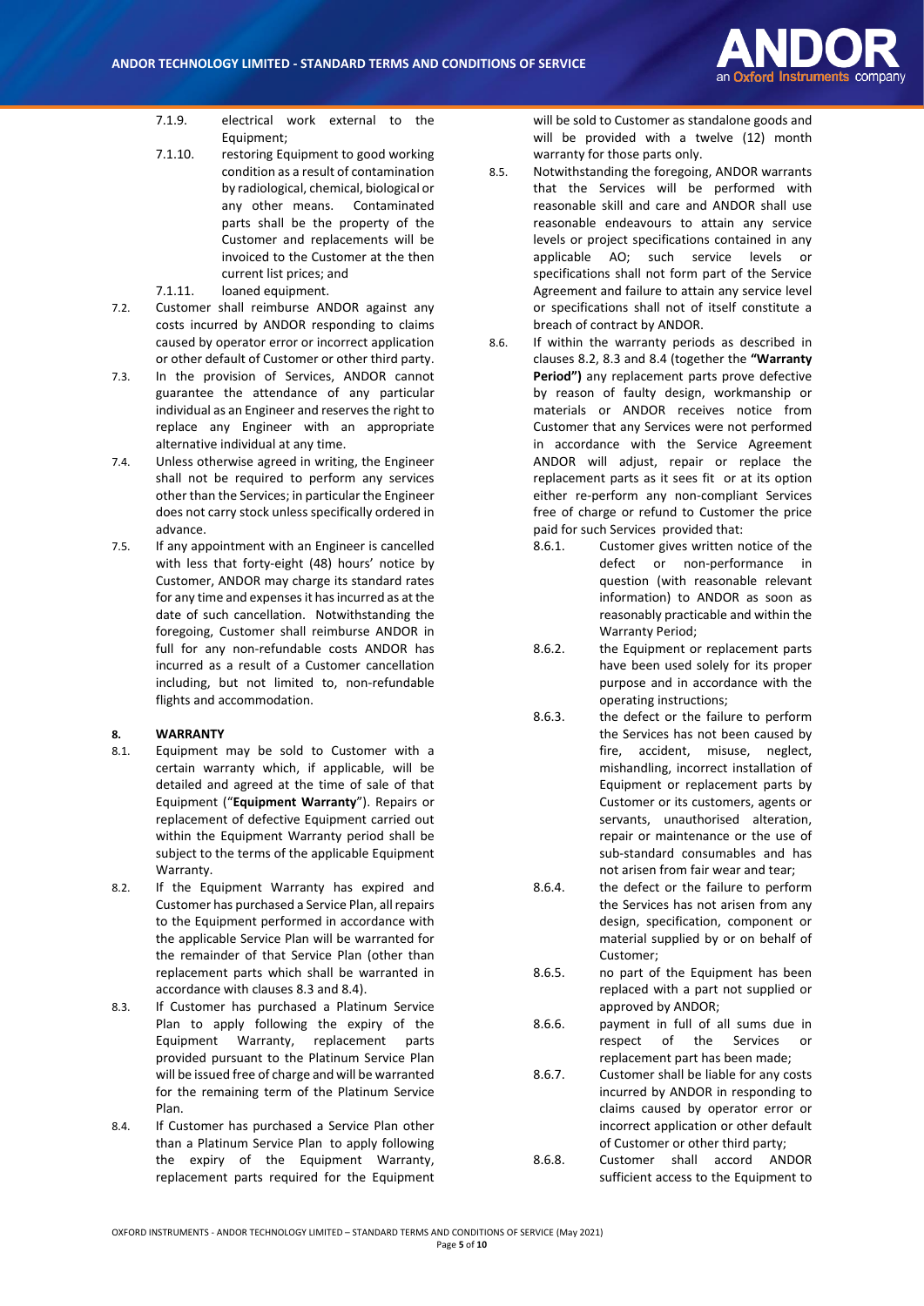

- 7.1.9. electrical work external to the Equipment;
- 7.1.10. restoring Equipment to good working condition as a result of contamination by radiological, chemical, biological or any other means. Contaminated parts shall be the property of the Customer and replacements will be invoiced to the Customer at the then current list prices; and
- 7.1.11. loaned equipment.
- 7.2. Customer shall reimburse ANDOR against any costs incurred by ANDOR responding to claims caused by operator error or incorrect application or other default of Customer or other third party.
- 7.3. In the provision of Services, ANDOR cannot guarantee the attendance of any particular individual as an Engineer and reserves the right to replace any Engineer with an appropriate alternative individual at any time.
- 7.4. Unless otherwise agreed in writing, the Engineer shall not be required to perform any services other than the Services; in particular the Engineer does not carry stock unless specifically ordered in advance.
- 7.5. If any appointment with an Engineer is cancelled with less that forty-eight (48) hours' notice by Customer, ANDOR may charge its standard rates for any time and expenses it has incurred as at the date of such cancellation. Notwithstanding the foregoing, Customer shall reimburse ANDOR in full for any non-refundable costs ANDOR has incurred as a result of a Customer cancellation including, but not limited to, non-refundable flights and accommodation.

#### **8. WARRANTY**

- 8.1. Equipment may be sold to Customer with a certain warranty which, if applicable, will be detailed and agreed at the time of sale of that Equipment ("**Equipment Warranty**"). Repairs or replacement of defective Equipment carried out within the Equipment Warranty period shall be subject to the terms of the applicable Equipment Warranty.
- 8.2. If the Equipment Warranty has expired and Customer has purchased a Service Plan, all repairs to the Equipment performed in accordance with the applicable Service Plan will be warranted for the remainder of that Service Plan (other than replacement parts which shall be warranted in accordance with clauses 8.3 and 8.4).
- 8.3. If Customer has purchased a Platinum Service Plan to apply following the expiry of the Equipment Warranty, replacement parts provided pursuant to the Platinum Service Plan will be issued free of charge and will be warranted for the remaining term of the Platinum Service Plan.
- 8.4. If Customer has purchased a Service Plan other than a Platinum Service Plan to apply following the expiry of the Equipment Warranty, replacement parts required for the Equipment

will be sold to Customer as standalone goods and will be provided with a twelve (12) month warranty for those parts only.

- 8.5. Notwithstanding the foregoing, ANDOR warrants that the Services will be performed with reasonable skill and care and ANDOR shall use reasonable endeavours to attain any service levels or project specifications contained in any applicable AO; such service levels or specifications shall not form part of the Service Agreement and failure to attain any service level or specifications shall not of itself constitute a breach of contract by ANDOR.
- 8.6. If within the warranty periods as described in clauses 8.2, 8.3 and 8.4 (together the **"Warranty Period")** any replacement parts prove defective by reason of faulty design, workmanship or materials or ANDOR receives notice from Customer that any Services were not performed in accordance with the Service Agreement ANDOR will adjust, repair or replace the replacement parts as it sees fit or at its option either re-perform any non-compliant Services free of charge or refund to Customer the price paid for such Services provided that:
	- 8.6.1. Customer gives written notice of the defect or non-performance in question (with reasonable relevant information) to ANDOR as soon as reasonably practicable and within the Warranty Period;
	- 8.6.2. the Equipment or replacement parts have been used solely for its proper purpose and in accordance with the operating instructions;
	- 8.6.3. the defect or the failure to perform the Services has not been caused by fire, accident, misuse, neglect, mishandling, incorrect installation of Equipment or replacement parts by Customer or its customers, agents or servants, unauthorised alteration, repair or maintenance or the use of sub-standard consumables and has not arisen from fair wear and tear;
	- 8.6.4. the defect or the failure to perform the Services has not arisen from any design, specification, component or material supplied by or on behalf of Customer;
	- 8.6.5. no part of the Equipment has been replaced with a part not supplied or approved by ANDOR;
	- 8.6.6. payment in full of all sums due in respect of the Services or replacement part has been made;
	- 8.6.7. Customer shall be liable for any costs incurred by ANDOR in responding to claims caused by operator error or incorrect application or other default of Customer or other third party;
	- 8.6.8. Customer shall accord ANDOR sufficient access to the Equipment to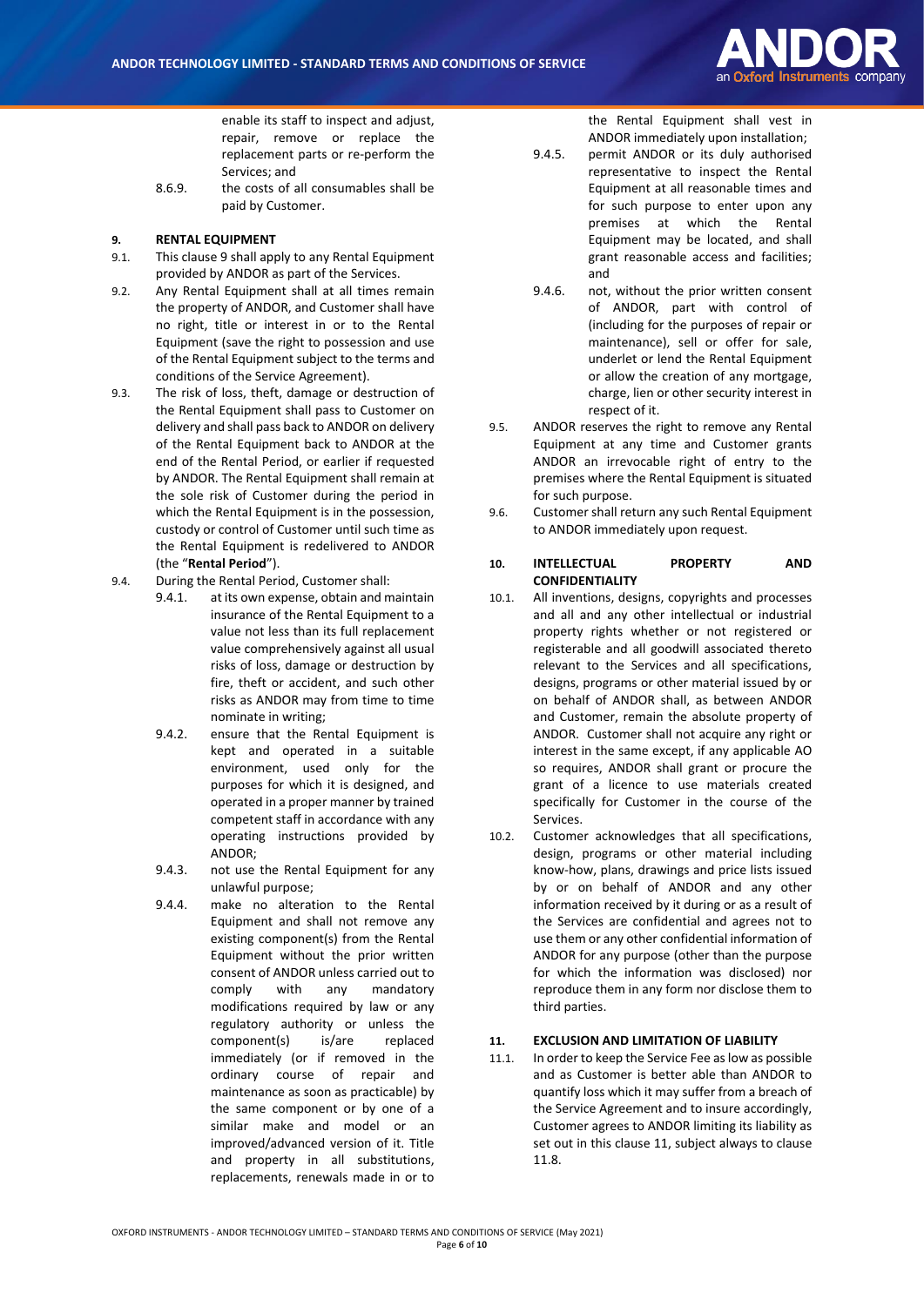

enable its staff to inspect and adjust, repair, remove or replace the replacement parts or re-perform the Services; and

8.6.9. the costs of all consumables shall be paid by Customer.

# **9. RENTAL EQUIPMENT**

- 9.1. This clause 9 shall apply to any Rental Equipment provided by ANDOR as part of the Services.
- 9.2. Any Rental Equipment shall at all times remain the property of ANDOR, and Customer shall have no right, title or interest in or to the Rental Equipment (save the right to possession and use of the Rental Equipment subject to the terms and conditions of the Service Agreement).
- 9.3. The risk of loss, theft, damage or destruction of the Rental Equipment shall pass to Customer on delivery and shall pass back to ANDOR on delivery of the Rental Equipment back to ANDOR at the end of the Rental Period, or earlier if requested by ANDOR. The Rental Equipment shall remain at the sole risk of Customer during the period in which the Rental Equipment is in the possession, custody or control of Customer until such time as the Rental Equipment is redelivered to ANDOR (the "**Rental Period**").
- 9.4. During the Rental Period, Customer shall:
	- 9.4.1. at its own expense, obtain and maintain insurance of the Rental Equipment to a value not less than its full replacement value comprehensively against all usual risks of loss, damage or destruction by fire, theft or accident, and such other risks as ANDOR may from time to time nominate in writing;
	- 9.4.2. ensure that the Rental Equipment is kept and operated in a suitable environment, used only for the purposes for which it is designed, and operated in a proper manner by trained competent staff in accordance with any operating instructions provided by ANDOR;
	- 9.4.3. not use the Rental Equipment for any unlawful purpose;
	- 9.4.4. make no alteration to the Rental Equipment and shall not remove any existing component(s) from the Rental Equipment without the prior written consent of ANDOR unless carried out to comply with any mandatory modifications required by law or any regulatory authority or unless the component(s) is/are replaced immediately (or if removed in the ordinary course of repair and maintenance as soon as practicable) by the same component or by one of a similar make and model or an improved/advanced version of it. Title and property in all substitutions, replacements, renewals made in or to

the Rental Equipment shall vest in ANDOR immediately upon installation;

- 9.4.5. permit ANDOR or its duly authorised representative to inspect the Rental Equipment at all reasonable times and for such purpose to enter upon any premises at which the Rental Equipment may be located, and shall grant reasonable access and facilities; and
- 9.4.6. not, without the prior written consent of ANDOR, part with control of (including for the purposes of repair or maintenance), sell or offer for sale, underlet or lend the Rental Equipment or allow the creation of any mortgage, charge, lien or other security interest in respect of it.
- 9.5. ANDOR reserves the right to remove any Rental Equipment at any time and Customer grants ANDOR an irrevocable right of entry to the premises where the Rental Equipment is situated for such purpose.
- 9.6. Customer shall return any such Rental Equipment to ANDOR immediately upon request.

### **10. INTELLECTUAL PROPERTY AND CONFIDENTIALITY**

- 10.1. All inventions, designs, copyrights and processes and all and any other intellectual or industrial property rights whether or not registered or registerable and all goodwill associated thereto relevant to the Services and all specifications, designs, programs or other material issued by or on behalf of ANDOR shall, as between ANDOR and Customer, remain the absolute property of ANDOR. Customer shall not acquire any right or interest in the same except, if any applicable AO so requires, ANDOR shall grant or procure the grant of a licence to use materials created specifically for Customer in the course of the Services.
- 10.2. Customer acknowledges that all specifications, design, programs or other material including know-how, plans, drawings and price lists issued by or on behalf of ANDOR and any other information received by it during or as a result of the Services are confidential and agrees not to use them or any other confidential information of ANDOR for any purpose (other than the purpose for which the information was disclosed) nor reproduce them in any form nor disclose them to third parties.

# **11. EXCLUSION AND LIMITATION OF LIABILITY**

11.1. In order to keep the Service Fee as low as possible and as Customer is better able than ANDOR to quantify loss which it may suffer from a breach of the Service Agreement and to insure accordingly, Customer agrees to ANDOR limiting its liability as set out in this clause 11, subject always to clause [11.8.](#page-6-0)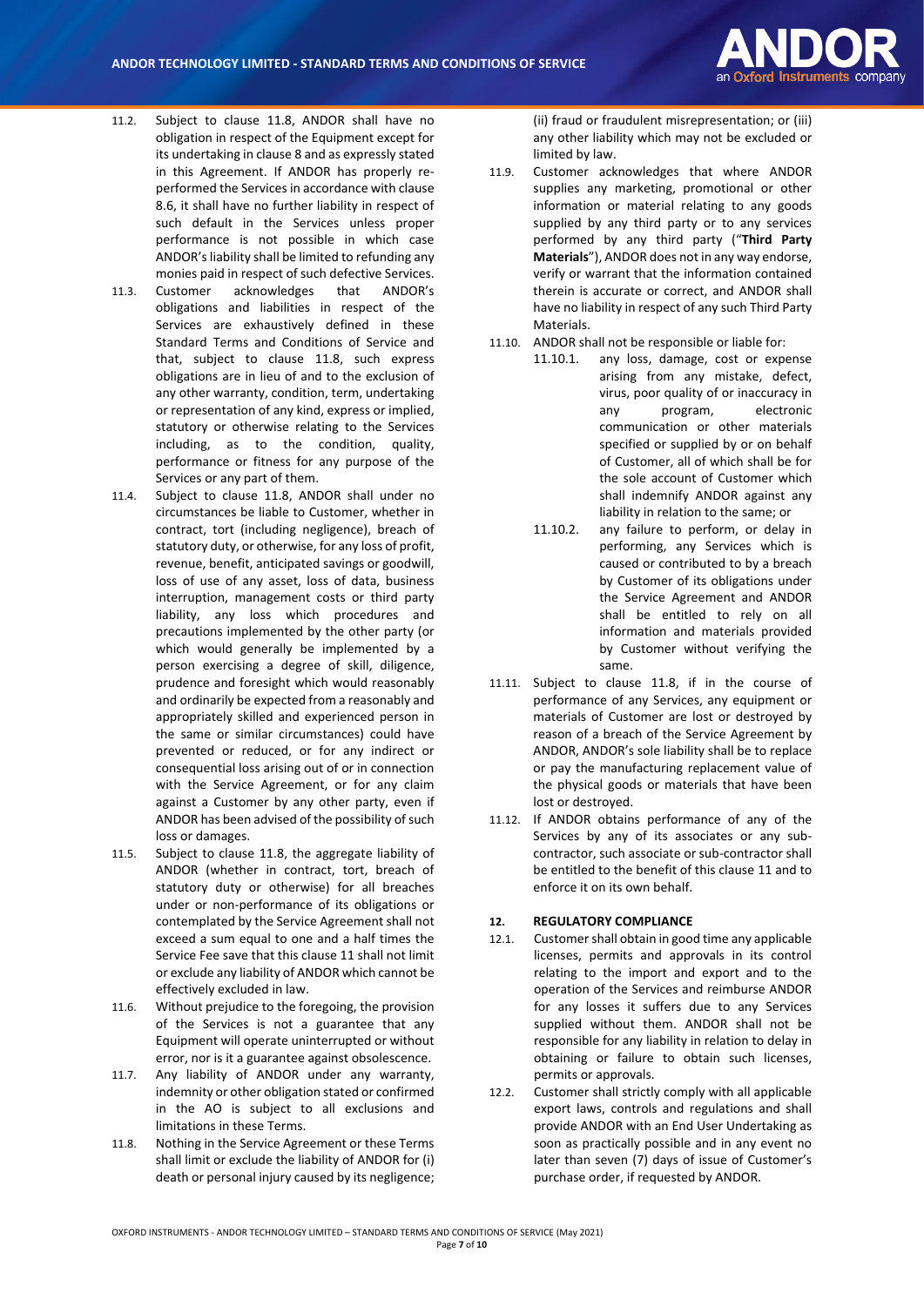

- 11.2. Subject to clause 11.8, ANDOR shall have no obligation in respect of the Equipment except for its undertaking in clause 8 and as expressly stated in this Agreement. If ANDOR has properly reperformed the Services in accordance with clause 8.6, it shall have no further liability in respect of such default in the Services unless proper performance is not possible in which case ANDOR's liability shall be limited to refunding any monies paid in respect of such defective Services.
- 11.3. Customer acknowledges that ANDOR's obligations and liabilities in respect of the Services are exhaustively defined in these Standard Terms and Conditions of Service and that, subject to clause 11.8, such express obligations are in lieu of and to the exclusion of any other warranty, condition, term, undertaking or representation of any kind, express or implied, statutory or otherwise relating to the Services including, as to the condition, quality, performance or fitness for any purpose of the Services or any part of them.
- 11.4. Subject to clause 11.8, ANDOR shall under no circumstances be liable to Customer, whether in contract, tort (including negligence), breach of statutory duty, or otherwise, for any loss of profit, revenue, benefit, anticipated savings or goodwill, loss of use of any asset, loss of data, business interruption, management costs or third party liability, any loss which procedures and precautions implemented by the other party (or which would generally be implemented by a person exercising a degree of skill, diligence, prudence and foresight which would reasonably and ordinarily be expected from a reasonably and appropriately skilled and experienced person in the same or similar circumstances) could have prevented or reduced, or for any indirect or consequential loss arising out of or in connection with the Service Agreement, or for any claim against a Customer by any other party, even if ANDOR has been advised of the possibility of such loss or damages.
- 11.5. Subject to clause 11.8, the aggregate liability of ANDOR (whether in contract, tort, breach of statutory duty or otherwise) for all breaches under or non-performance of its obligations or contemplated by the Service Agreement shall not exceed a sum equal to one and a half times the Service Fee save that this clause 11 shall not limit or exclude any liability of ANDOR which cannot be effectively excluded in law.
- 11.6. Without prejudice to the foregoing, the provision of the Services is not a guarantee that any Equipment will operate uninterrupted or without error, nor is it a guarantee against obsolescence.
- 11.7. Any liability of ANDOR under any warranty, indemnity or other obligation stated or confirmed in the AO is subject to all exclusions and limitations in these Terms.
- <span id="page-6-0"></span>11.8. Nothing in the Service Agreement or these Terms shall limit or exclude the liability of ANDOR for (i) death or personal injury caused by its negligence;

(ii) fraud or fraudulent misrepresentation; or (iii) any other liability which may not be excluded or limited by law.

- 11.9. Customer acknowledges that where ANDOR supplies any marketing, promotional or other information or material relating to any goods supplied by any third party or to any services performed by any third party ("**Third Party Materials**"), ANDOR does not in any way endorse, verify or warrant that the information contained therein is accurate or correct, and ANDOR shall have no liability in respect of any such Third Party **Materials**
- 11.10. ANDOR shall not be responsible or liable for:
	- 11.10.1. any loss, damage, cost or expense arising from any mistake, defect, virus, poor quality of or inaccuracy in any program, electronic communication or other materials specified or supplied by or on behalf of Customer, all of which shall be for the sole account of Customer which shall indemnify ANDOR against any liability in relation to the same; or
	- 11.10.2. any failure to perform, or delay in performing, any Services which is caused or contributed to by a breach by Customer of its obligations under the Service Agreement and ANDOR shall be entitled to rely on all information and materials provided by Customer without verifying the same.
- 11.11. Subject to clause [11.8,](#page-6-0) if in the course of performance of any Services, any equipment or materials of Customer are lost or destroyed by reason of a breach of the Service Agreement by ANDOR, ANDOR's sole liability shall be to replace or pay the manufacturing replacement value of the physical goods or materials that have been lost or destroyed.
- 11.12. If ANDOR obtains performance of any of the Services by any of its associates or any subcontractor, such associate or sub-contractor shall be entitled to the benefit of this clause 11 and to enforce it on its own behalf.

#### **12. REGULATORY COMPLIANCE**

- 12.1. Customer shall obtain in good time any applicable licenses, permits and approvals in its control relating to the import and export and to the operation of the Services and reimburse ANDOR for any losses it suffers due to any Services supplied without them. ANDOR shall not be responsible for any liability in relation to delay in obtaining or failure to obtain such licenses, permits or approvals.
- 12.2. Customer shall strictly comply with all applicable export laws, controls and regulations and shall provide ANDOR with an End User Undertaking as soon as practically possible and in any event no later than seven (7) days of issue of Customer's purchase order, if requested by ANDOR.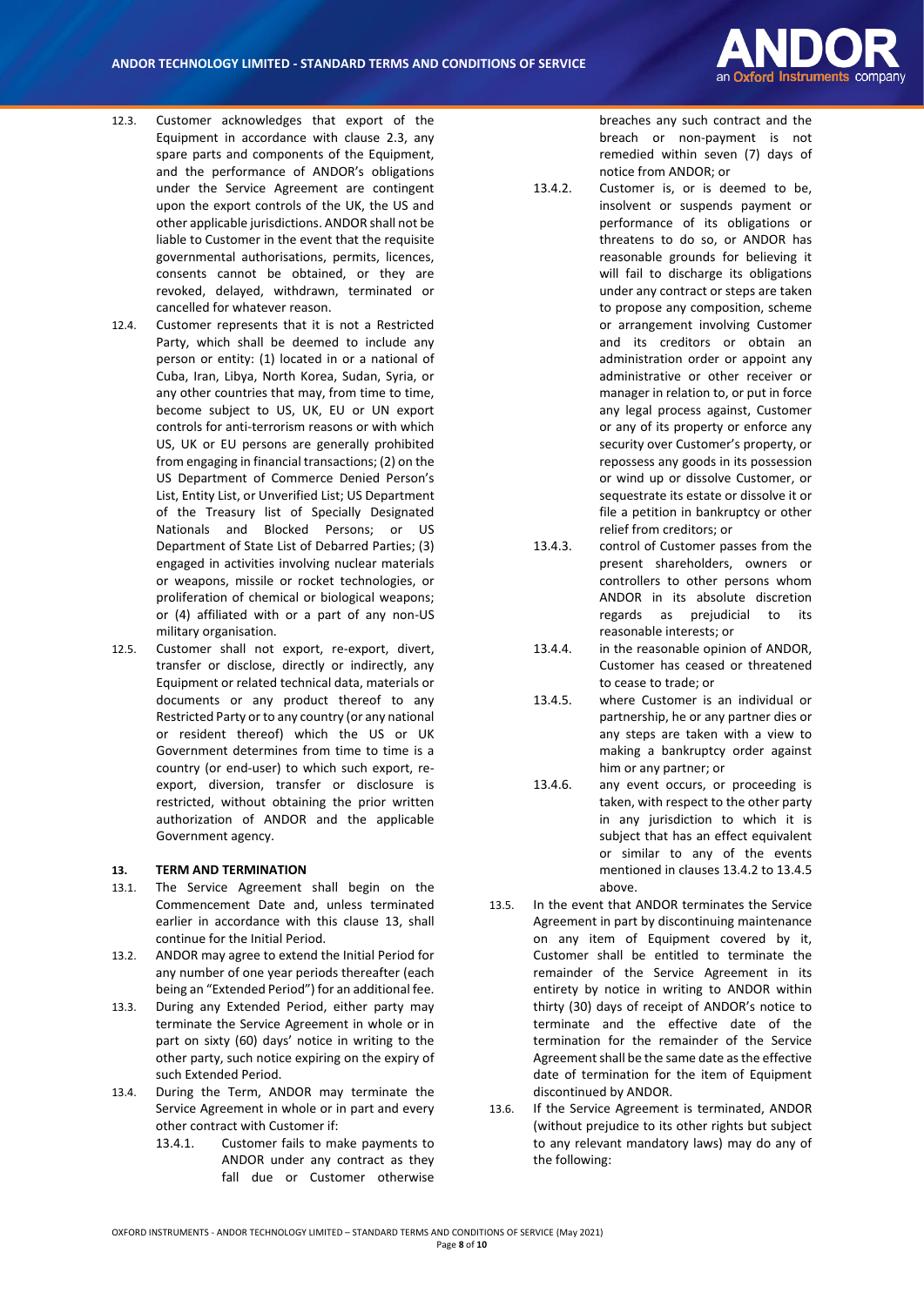

- 12.3. Customer acknowledges that export of the Equipment in accordance with clause 2.3, any spare parts and components of the Equipment, and the performance of ANDOR's obligations under the Service Agreement are contingent upon the export controls of the UK, the US and other applicable jurisdictions. ANDOR shall not be liable to Customer in the event that the requisite governmental authorisations, permits, licences, consents cannot be obtained, or they are revoked, delayed, withdrawn, terminated or cancelled for whatever reason.
- 12.4. Customer represents that it is not a Restricted Party, which shall be deemed to include any person or entity: (1) located in or a national of Cuba, Iran, Libya, North Korea, Sudan, Syria, or any other countries that may, from time to time, become subject to US, UK, EU or UN export controls for anti-terrorism reasons or with which US, UK or EU persons are generally prohibited from engaging in financial transactions; (2) on the US Department of Commerce Denied Person's List, Entity List, or Unverified List; US Department of the Treasury list of Specially Designated Nationals and Blocked Persons; or US Department of State List of Debarred Parties; (3) engaged in activities involving nuclear materials or weapons, missile or rocket technologies, or proliferation of chemical or biological weapons; or (4) affiliated with or a part of any non-US military organisation.
- 12.5. Customer shall not export, re-export, divert, transfer or disclose, directly or indirectly, any Equipment or related technical data, materials or documents or any product thereof to any Restricted Party or to any country (or any national or resident thereof) which the US or UK Government determines from time to time is a country (or end-user) to which such export, reexport, diversion, transfer or disclosure is restricted, without obtaining the prior written authorization of ANDOR and the applicable Government agency.

#### **13. TERM AND TERMINATION**

- 13.1. The Service Agreement shall begin on the Commencement Date and, unless terminated earlier in accordance with this clause 13, shall continue for the Initial Period.
- 13.2. ANDOR may agree to extend the Initial Period for any number of one year periods thereafter (each being an "Extended Period") for an additional fee.
- 13.3. During any Extended Period, either party may terminate the Service Agreement in whole or in part on sixty (60) days' notice in writing to the other party, such notice expiring on the expiry of such Extended Period.
- 13.4. During the Term, ANDOR may terminate the Service Agreement in whole or in part and every other contract with Customer if:
	- 13.4.1. Customer fails to make payments to ANDOR under any contract as they fall due or Customer otherwise

breaches any such contract and the breach or non-payment is not remedied within seven (7) days of notice from ANDOR; or

- <span id="page-7-0"></span>13.4.2. Customer is, or is deemed to be, insolvent or suspends payment or performance of its obligations or threatens to do so, or ANDOR has reasonable grounds for believing it will fail to discharge its obligations under any contract or steps are taken to propose any composition, scheme or arrangement involving Customer and its creditors or obtain an administration order or appoint any administrative or other receiver or manager in relation to, or put in force any legal process against, Customer or any of its property or enforce any security over Customer's property, or repossess any goods in its possession or wind up or dissolve Customer, or sequestrate its estate or dissolve it or file a petition in bankruptcy or other relief from creditors; or
- 13.4.3. control of Customer passes from the present shareholders, owners or controllers to other persons whom ANDOR in its absolute discretion regards as prejudicial to its reasonable interests; or
- 13.4.4. in the reasonable opinion of ANDOR, Customer has ceased or threatened to cease to trade; or
- <span id="page-7-1"></span>13.4.5. where Customer is an individual or partnership, he or any partner dies or any steps are taken with a view to making a bankruptcy order against him or any partner; or
- 13.4.6. any event occurs, or proceeding is taken, with respect to the other party in any jurisdiction to which it is subject that has an effect equivalent or similar to any of the events mentioned in clauses [13.4.2](#page-7-0) t[o 13.4.5](#page-7-1) above.
- 13.5. In the event that ANDOR terminates the Service Agreement in part by discontinuing maintenance on any item of Equipment covered by it, Customer shall be entitled to terminate the remainder of the Service Agreement in its entirety by notice in writing to ANDOR within thirty (30) days of receipt of ANDOR's notice to terminate and the effective date of the termination for the remainder of the Service Agreement shall be the same date as the effective date of termination for the item of Equipment discontinued by ANDOR.
- 13.6. If the Service Agreement is terminated, ANDOR (without prejudice to its other rights but subject to any relevant mandatory laws) may do any of the following: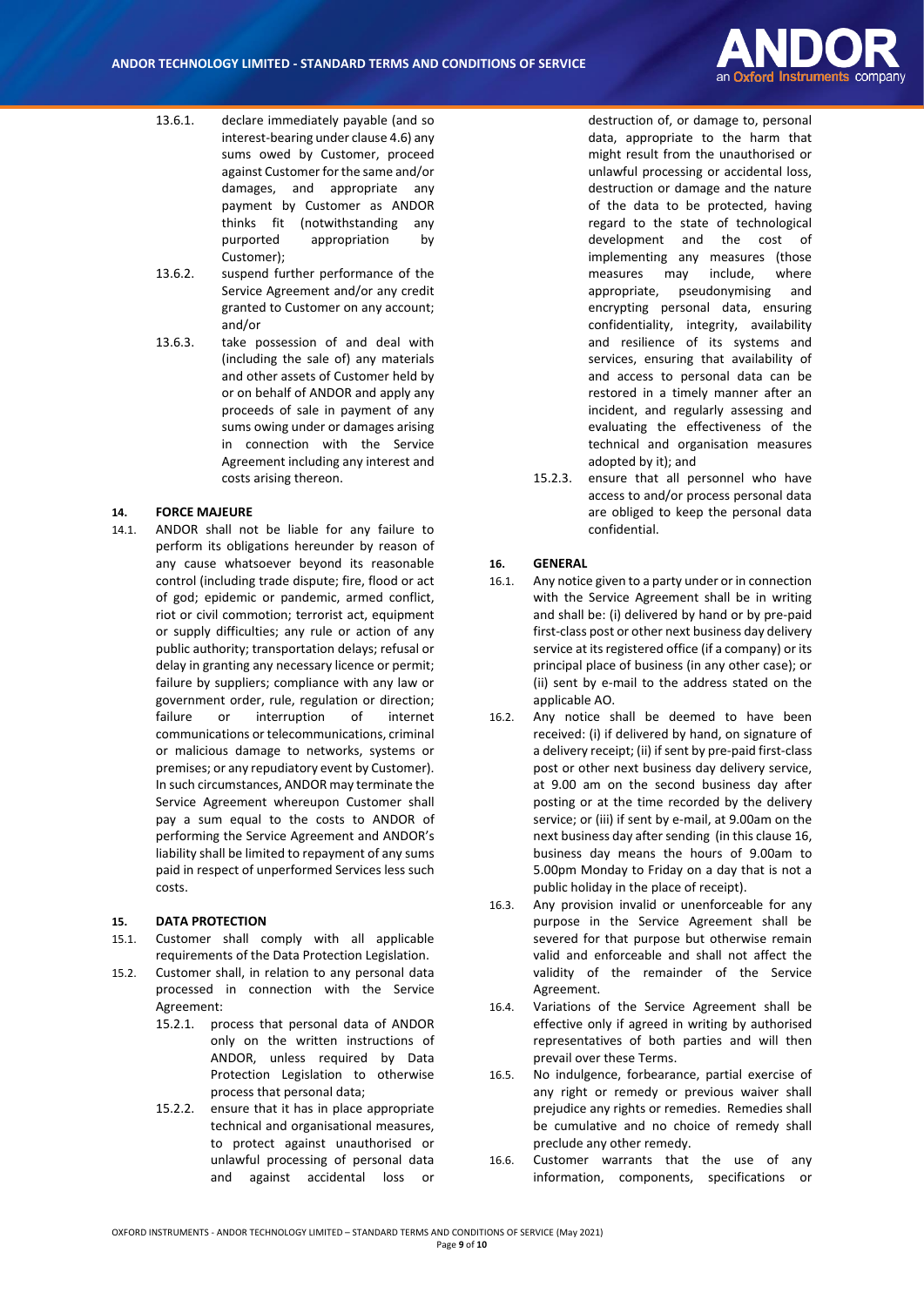

- 13.6.1. declare immediately payable (and so interest-bearing under claus[e 4.6\)](#page-1-2) any sums owed by Customer, proceed against Customer for the same and/or damages, and appropriate any payment by Customer as ANDOR thinks fit (notwithstanding any purported appropriation by Customer);
- 13.6.2. suspend further performance of the Service Agreement and/or any credit granted to Customer on any account; and/or
- 13.6.3. take possession of and deal with (including the sale of) any materials and other assets of Customer held by or on behalf of ANDOR and apply any proceeds of sale in payment of any sums owing under or damages arising in connection with the Service Agreement including any interest and costs arising thereon.

#### **14. FORCE MAJEURE**

14.1. ANDOR shall not be liable for any failure to perform its obligations hereunder by reason of any cause whatsoever beyond its reasonable control (including trade dispute; fire, flood or act of god; epidemic or pandemic, armed conflict, riot or civil commotion; terrorist act, equipment or supply difficulties; any rule or action of any public authority; transportation delays; refusal or delay in granting any necessary licence or permit; failure by suppliers; compliance with any law or government order, rule, regulation or direction; failure or interruption of internet communications or telecommunications, criminal or malicious damage to networks, systems or premises; or any repudiatory event by Customer). In such circumstances, ANDOR may terminate the Service Agreement whereupon Customer shall pay a sum equal to the costs to ANDOR of performing the Service Agreement and ANDOR's liability shall be limited to repayment of any sums paid in respect of unperformed Services less such costs.

#### **15. DATA PROTECTION**

- 15.1. Customer shall comply with all applicable requirements of the Data Protection Legislation.
- 15.2. Customer shall, in relation to any personal data processed in connection with the Service Agreement:
	- 15.2.1. process that personal data of ANDOR only on the written instructions of ANDOR, unless required by Data Protection Legislation to otherwise process that personal data;
	- 15.2.2. ensure that it has in place appropriate technical and organisational measures, to protect against unauthorised or unlawful processing of personal data and against accidental loss or

destruction of, or damage to, personal data, appropriate to the harm that might result from the unauthorised or unlawful processing or accidental loss, destruction or damage and the nature of the data to be protected, having regard to the state of technological development and the cost of implementing any measures (those measures may include, where appropriate, pseudonymising and encrypting personal data, ensuring confidentiality, integrity, availability and resilience of its systems and services, ensuring that availability of and access to personal data can be restored in a timely manner after an incident, and regularly assessing and evaluating the effectiveness of the technical and organisation measures adopted by it); and

15.2.3. ensure that all personnel who have access to and/or process personal data are obliged to keep the personal data confidential.

#### **16. GENERAL**

- 16.1. Any notice given to a party under or in connection with the Service Agreement shall be in writing and shall be: (i) delivered by hand or by pre-paid first-class post or other next business day delivery service at its registered office (if a company) or its principal place of business (in any other case); or (ii) sent by e-mail to the address stated on the applicable AO.
- 16.2. Any notice shall be deemed to have been received: (i) if delivered by hand, on signature of a delivery receipt; (ii) if sent by pre-paid first-class post or other next business day delivery service, at 9.00 am on the second business day after posting or at the time recorded by the delivery service; or (iii) if sent by e-mail, at 9.00am on the next business day after sending (in this clause 16, business day means the hours of 9.00am to 5.00pm Monday to Friday on a day that is not a public holiday in the place of receipt).
- 16.3. Any provision invalid or unenforceable for any purpose in the Service Agreement shall be severed for that purpose but otherwise remain valid and enforceable and shall not affect the validity of the remainder of the Service Agreement.
- 16.4. Variations of the Service Agreement shall be effective only if agreed in writing by authorised representatives of both parties and will then prevail over these Terms.
- 16.5. No indulgence, forbearance, partial exercise of any right or remedy or previous waiver shall prejudice any rights or remedies. Remedies shall be cumulative and no choice of remedy shall preclude any other remedy.
- 16.6. Customer warrants that the use of any information, components, specifications or